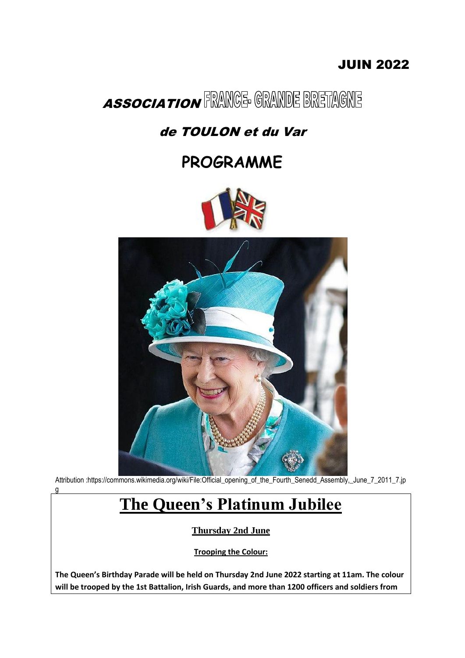### JUIN 2022



### de TOULON et du Var

### **PROGRAMME**





Attribution :https://commons.wikimedia.org/wiki/File:Official\_opening\_of\_the\_Fourth\_Senedd\_Assembly,\_June\_7\_2011\_7.jp g

# **The Queen's Platinum Jubilee**

**Thursday 2nd June**

**Trooping the Colour:**

**The Queen's Birthday Parade will be held on Thursday 2nd June 2022 starting at 11am. The colour will be trooped by the 1st Battalion, Irish Guards, and more than 1200 officers and soldiers from**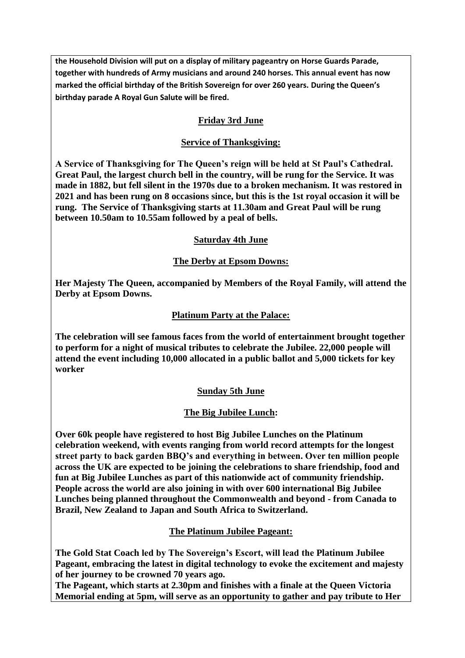**the Household Division will put on a display of military pageantry on Horse Guards Parade, together with hundreds of Army musicians and around 240 horses. This annual event has now marked the official birthday of the British Sovereign for over 260 years. During the Queen's birthday parade A Royal Gun Salute will be fired.**

#### **Friday 3rd June**

#### **Service of Thanksgiving:**

**A Service of Thanksgiving for The Queen's reign will be held at St Paul's Cathedral. Great Paul, the largest church bell in the country, will be rung for the Service. It was made in 1882, but fell silent in the 1970s due to a broken mechanism. It was restored in 2021 and has been rung on 8 occasions since, but this is the 1st royal occasion it will be rung. The Service of Thanksgiving starts at 11.30am and Great Paul will be rung between 10.50am to 10.55am followed by a peal of bells.**

#### **Saturday 4th June**

#### **The Derby at Epsom Downs:**

**Her Majesty The Queen, accompanied by Members of the Royal Family, will attend the Derby at Epsom Downs.**

#### **Platinum Party at the Palace:**

**The celebration will see famous faces from the world of entertainment brought together to perform for a night of musical tributes to celebrate the Jubilee. 22,000 people will attend the event including 10,000 allocated in a public ballot and 5,000 tickets for key worker**

#### **Sunday 5th June**

#### **The Big Jubilee Lunch:**

**Over 60k people have registered to host Big Jubilee Lunches on the Platinum celebration weekend, with events ranging from world record attempts for the longest street party to back garden BBQ's and everything in between. Over ten million people across the UK are expected to be joining the celebrations to share friendship, food and fun at Big Jubilee Lunches as part of this nationwide act of community friendship. People across the world are also joining in with over 600 international Big Jubilee Lunches being planned throughout the Commonwealth and beyond - from Canada to Brazil, New Zealand to Japan and South Africa to Switzerland.**

#### **The Platinum Jubilee Pageant:**

**The Gold Stat Coach led by The Sovereign's Escort, will lead the Platinum Jubilee Pageant, embracing the latest in digital technology to evoke the excitement and majesty of her journey to be crowned 70 years ago.**

**The Pageant, which starts at 2.30pm and finishes with a finale at the Queen Victoria Memorial ending at 5pm, will serve as an opportunity to gather and pay tribute to Her**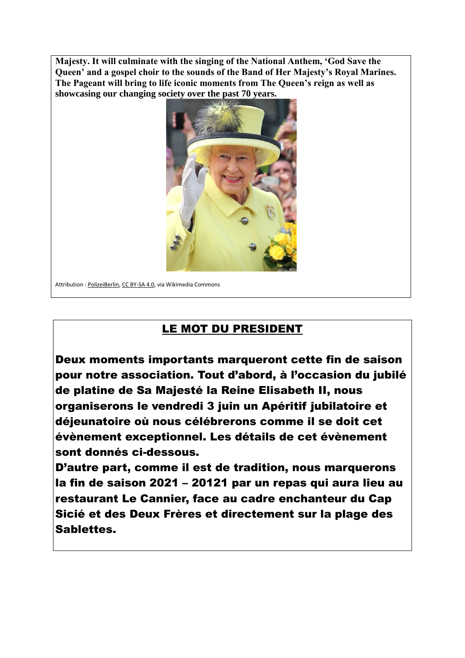**Majesty. It will culminate with the singing of the National Anthem, 'God Save the Queen' and a gospel choir to the sounds of the Band of Her Majesty's Royal Marines. The Pageant will bring to life iconic moments from The Queen's reign as well as showcasing our changing society over the past 70 years.**



Attribution : PolizeiBerlin, CC BY-SA 4.0, via Wikimedia Commons

### LE MOT DU PRESIDENT

Deux moments importants marqueront cette fin de saison pour notre association. Tout d'abord, à l'occasion du jubilé de platine de Sa Majesté la Reine Elisabeth II, nous organiserons le vendredi 3 juin un Apéritif jubilatoire et déjeunatoire où nous célébrerons comme il se doit cet évènement exceptionnel. Les détails de cet évènement sont donnés ci-dessous.

D'autre part, comme il est de tradition, nous marquerons la fin de saison 2021 – 20121 par un repas qui aura lieu au restaurant Le Cannier, face au cadre enchanteur du Cap Sicié et des Deux Frères et directement sur la plage des Sablettes.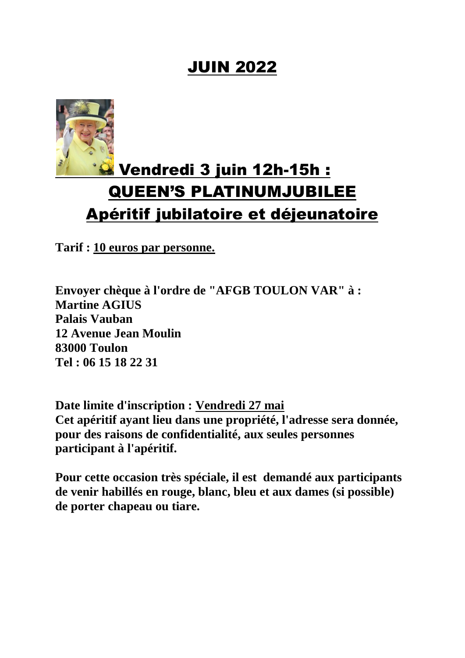### JUIN 2022



# Vendredi 3 juin 12h-15h : QUEEN'S PLATINUMJUBILEE Apéritif jubilatoire et déjeunatoire

**Tarif : 10 euros par personne.**

**Envoyer chèque à l'ordre de "AFGB TOULON VAR" à : Martine AGIUS Palais Vauban 12 Avenue Jean Moulin 83000 Toulon Tel : 06 15 18 22 31**

**Date limite d'inscription : Vendredi 27 mai Cet apéritif ayant lieu dans une propriété, l'adresse sera donnée, pour des raisons de confidentialité, aux seules personnes participant à l'apéritif.**

**Pour cette occasion très spéciale, il est demandé aux participants de venir habillés en rouge, blanc, bleu et aux dames (si possible) de porter chapeau ou tiare.**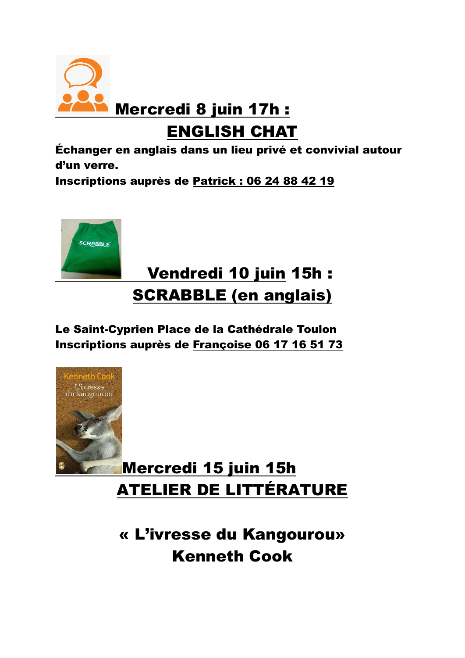

ENGLISH CHAT

Échanger en anglais dans un lieu privé et convivial autour d'un verre.

Inscriptions auprès de Patrick : 06 24 88 42 19



# Vendredi 10 juin 15h : SCRABBLE (en anglais)

Le Saint-Cyprien Place de la Cathédrale Toulon Inscriptions auprès de Françoise 06 17 16 51 73



# Mercredi 15 juin 15h ATELIER DE LITTÉRATURE

« L'ivresse du Kangourou» Kenneth Cook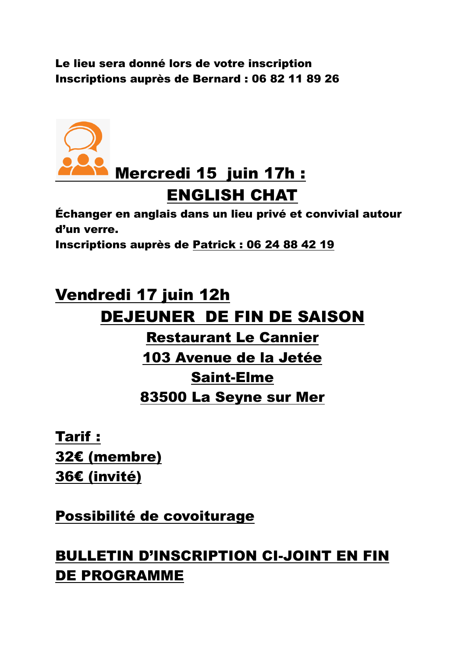Le lieu sera donné lors de votre inscription Inscriptions auprès de Bernard : 06 82 11 89 26



# ENGLISH CHAT

Échanger en anglais dans un lieu privé et convivial autour d'un verre.

Inscriptions auprès de Patrick : 06 24 88 42 19

# Vendredi 17 juin 12h DEJEUNER DE FIN DE SAISON

### Restaurant Le Cannier 103 Avenue de la Jetée Saint-Elme 83500 La Seyne sur Mer

Tarif : 32€ (membre) 36€ (invité)

Possibilité de covoiturage

### BULLETIN D'INSCRIPTION CI-JOINT EN FIN DE PROGRAMME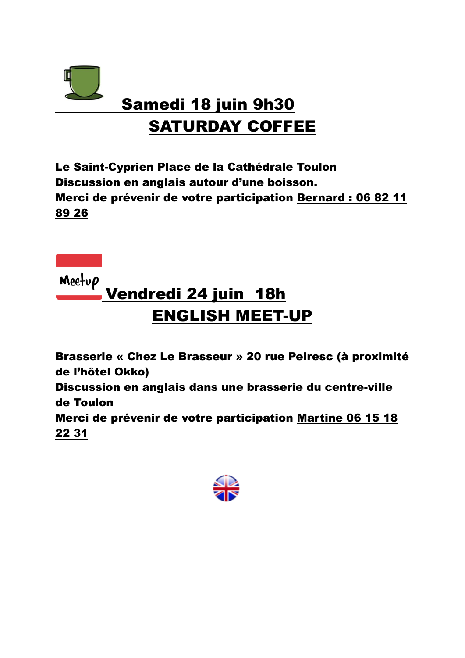

# SATURDAY COFFEE

Le Saint-Cyprien Place de la Cathédrale Toulon Discussion en anglais autour d'une boisson. Merci de prévenir de votre participation Bernard : 06 82 11 89 26

Meetup

# Vendredi 24 juin 18h ENGLISH MEET-UP

Brasserie « Chez Le Brasseur » 20 rue Peiresc (à proximité de l'hôtel Okko) Discussion en anglais dans une brasserie du centre-ville de Toulon Merci de prévenir de votre participation Martine 06 15 18 22 31

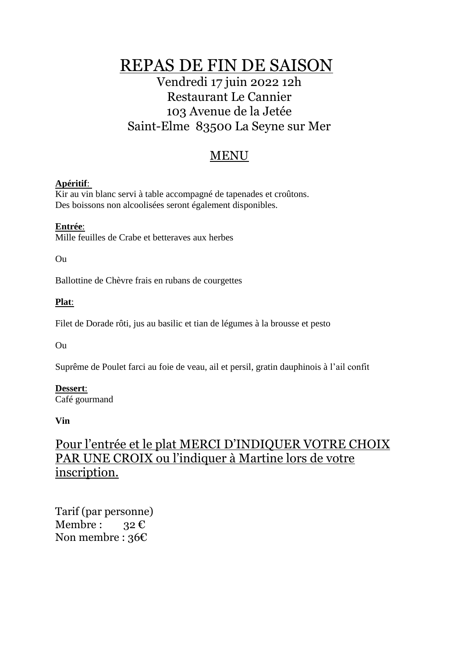REPAS DE FIN DE SAISON

### Vendredi 17 juin 2022 12h Restaurant Le Cannier 103 Avenue de la Jetée Saint-Elme 83500 La Seyne sur Mer

### MENU

#### **Apéritif**:

Kir au vin blanc servi à table accompagné de tapenades et croûtons. Des boissons non alcoolisées seront également disponibles.

#### **Entrée**:

Mille feuilles de Crabe et betteraves aux herbes

Ou

Ballottine de Chèvre frais en rubans de courgettes

#### **Plat**:

Filet de Dorade rôti, jus au basilic et tian de légumes à la brousse et pesto

Ou

Suprême de Poulet farci au foie de veau, ail et persil, gratin dauphinois à l'ail confit

### **Dessert**:

Café gourmand

**Vin**

### Pour l'entrée et le plat MERCI D'INDIQUER VOTRE CHOIX PAR UNE CROIX ou l'indiquer à Martine lors de votre inscription.

Tarif (par personne) Membre : 32  $\epsilon$ Non membre : 36€